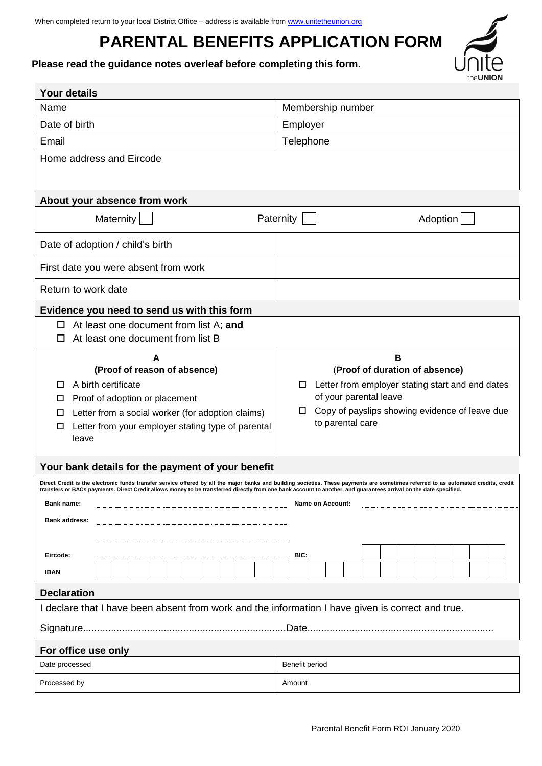# **PARENTAL BENEFITS APPLICATION FORM**

ON

**Please read the guidance notes overleaf before completing this form.** 

| <b>Your details</b>                                                                                                                                                                                                                                                                                                                                      |                                                                         |  |  |  |
|----------------------------------------------------------------------------------------------------------------------------------------------------------------------------------------------------------------------------------------------------------------------------------------------------------------------------------------------------------|-------------------------------------------------------------------------|--|--|--|
| Name                                                                                                                                                                                                                                                                                                                                                     | Membership number                                                       |  |  |  |
| Date of birth                                                                                                                                                                                                                                                                                                                                            | Employer                                                                |  |  |  |
| Email                                                                                                                                                                                                                                                                                                                                                    | Telephone                                                               |  |  |  |
| Home address and Eircode                                                                                                                                                                                                                                                                                                                                 |                                                                         |  |  |  |
|                                                                                                                                                                                                                                                                                                                                                          |                                                                         |  |  |  |
| About your absence from work                                                                                                                                                                                                                                                                                                                             |                                                                         |  |  |  |
| Maternity                                                                                                                                                                                                                                                                                                                                                | Paternity<br>Adoption                                                   |  |  |  |
| Date of adoption / child's birth                                                                                                                                                                                                                                                                                                                         |                                                                         |  |  |  |
| First date you were absent from work                                                                                                                                                                                                                                                                                                                     |                                                                         |  |  |  |
| Return to work date                                                                                                                                                                                                                                                                                                                                      |                                                                         |  |  |  |
| Evidence you need to send us with this form                                                                                                                                                                                                                                                                                                              |                                                                         |  |  |  |
| At least one document from list A; and<br>□<br>At least one document from list B                                                                                                                                                                                                                                                                         |                                                                         |  |  |  |
| A                                                                                                                                                                                                                                                                                                                                                        | B                                                                       |  |  |  |
| (Proof of reason of absence)                                                                                                                                                                                                                                                                                                                             | (Proof of duration of absence)                                          |  |  |  |
| A birth certificate<br>□                                                                                                                                                                                                                                                                                                                                 | Letter from employer stating start and end dates<br>□                   |  |  |  |
| Proof of adoption or placement<br>□                                                                                                                                                                                                                                                                                                                      | of your parental leave                                                  |  |  |  |
| Letter from a social worker (for adoption claims)<br>□                                                                                                                                                                                                                                                                                                   | Copy of payslips showing evidence of leave due<br>□<br>to parental care |  |  |  |
| Letter from your employer stating type of parental<br>□<br>leave                                                                                                                                                                                                                                                                                         |                                                                         |  |  |  |
|                                                                                                                                                                                                                                                                                                                                                          |                                                                         |  |  |  |
| Your bank details for the payment of your benefit                                                                                                                                                                                                                                                                                                        |                                                                         |  |  |  |
| Direct Credit is the electronic funds transfer service offered by all the major banks and building societies. These payments are sometimes referred to as automated credits, credit<br>transfers or BACs payments. Direct Credit allows money to be transferred directly from one bank account to another, and guarantees arrival on the date specified. |                                                                         |  |  |  |
| <b>Bank name:</b><br>Name on Account:                                                                                                                                                                                                                                                                                                                    |                                                                         |  |  |  |
| <b>Bank address:</b>                                                                                                                                                                                                                                                                                                                                     |                                                                         |  |  |  |
|                                                                                                                                                                                                                                                                                                                                                          |                                                                         |  |  |  |
| Eircode:                                                                                                                                                                                                                                                                                                                                                 | BIC:                                                                    |  |  |  |
| <b>IBAN</b>                                                                                                                                                                                                                                                                                                                                              |                                                                         |  |  |  |
| <b>Declaration</b>                                                                                                                                                                                                                                                                                                                                       |                                                                         |  |  |  |
| I declare that I have been absent from work and the information I have given is correct and true.                                                                                                                                                                                                                                                        |                                                                         |  |  |  |
|                                                                                                                                                                                                                                                                                                                                                          |                                                                         |  |  |  |
| For office use only                                                                                                                                                                                                                                                                                                                                      |                                                                         |  |  |  |
| Benefit period<br>Date processed                                                                                                                                                                                                                                                                                                                         |                                                                         |  |  |  |
| Processed by<br>Amount                                                                                                                                                                                                                                                                                                                                   |                                                                         |  |  |  |